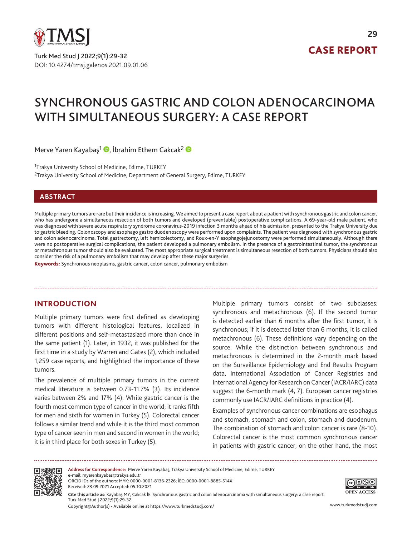

DOI: 10.4274/tmsj.galenos.2021.09.01.06 Turk Med Stud J 2022;9(1):29-32

# CASE REPORT

**29**

# SYNCHRONOUS GASTRIC AND COLON ADENOCARCINOMA WITH SIMULTANEOUS SURGERY: A CASE REPORT

Merve Yaren Kayabaş<sup>1</sup> [,](https://orcid.org/0000-0001-8136-2326) İbrahim Ethem Cakcak<sup>2</sup> D

<sup>1</sup>Trakya University School of Medicine, Edirne, TURKEY <sup>2</sup>Trakya University School of Medicine, Department of General Surgery, Edirne, TURKEY

#### **ABSTRACT**

Multiple primary tumors are rare but their incidence is increasing. We aimed to present a case report about a patient with synchronous gastric and colon cancer, who has undergone a simultaneous resection of both tumors and developed (preventable) postoperative complications. A 69-year-old male patient, who was diagnosed with severe acute respiratory syndrome coronavirus-2019 infection 3 months ahead of his admission, presented to the Trakya University due to gastric bleeding. Colonoscopy and esophago gastro duodenoscopy were performed upon complaints. The patient was diagnosed with synchronous gastric and colon adenocarcinoma. Total gastrectomy, left hemicolectomy, and Roux-en-Y esophagojejunostomy were performed simultaneously. Although there were no postoperative surgical complications, the patient developed a pulmonary embolism. In the presence of a gastrointestinal tumor, the synchronous or metachronous tumor should also be evaluated. The most appropriate surgical treatment is simultaneous resection of both tumors. Physicians should also consider the risk of a pulmonary embolism that may develop after these major surgeries.

Keywords: Synchronous neoplasms, gastric cancer, colon cancer, pulmonary embolism

# **INTRODUCTION**

Multiple primary tumors were first defined as developing tumors with different histological features, localized in different positions and self-metastasized more than once in the same patient (1). Later, in 1932, it was published for the first time in a study by Warren and Gates (2), which included 1,259 case reports, and highlighted the importance of these tumors.

The prevalence of multiple primary tumors in the current medical literature is between 0.73-11.7% (3). Its incidence varies between 2% and 17% (4). While gastric cancer is the fourth most common type of cancer in the world; it ranks fifth for men and sixth for women in Turkey (5). Colorectal cancer follows a similar trend and while it is the third most common type of cancer seen in men and second in women in the world; it is in third place for both sexes in Turkey (5).

Multiple primary tumors consist of two subclasses: synchronous and metachronous (6). If the second tumor is detected earlier than 6 months after the first tumor, it is synchronous; if it is detected later than 6 months, it is called metachronous (6). These definitions vary depending on the source. While the distinction between synchronous and metachronous is determined in the 2-month mark based on the Surveillance Epidemiology and End Results Program data, International Association of Cancer Registries and International Agency for Research on Cancer (IACR/IARC) data suggest the 6-month mark (4, 7). European cancer registries commonly use IACR/IARC definitions in practice (4).

Examples of synchronous cancer combinations are esophagus and stomach, stomach and colon, stomach and duodenum. The combination of stomach and colon cancer is rare (8-10). Colorectal cancer is the most common synchronous cancer in patients with gastric cancer; on the other hand, the most



**OPEN ACCESS Cite this article as:** Kayabaş MY, Cakcak İE. Synchronous gastric and colon adenocarcinoma with simultaneous surgery: a case report. Turk Med Stud J 2022;9(1):29-32. **Address for Correspondence:** Merve Yaren Kayabaş, Trakya University School of Medicine, Edirne, TURKEY e-mail: myarenkayabas@trakya.edu.tr ORCID iDs of the authors: MYK: 0000-0001-8136-2326; İEC: 0000-0001-8885-514X. Received: 23.09.2021 Accepted: 05.10.2021

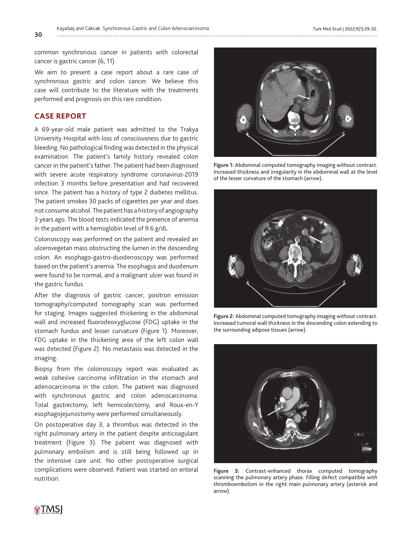common synchronous cancer in patients with colorectal cancer is gastric cancer (6, 11).

We aim to present a case report about a rare case of synchronous gastric and colon cancer. We believe this case will contribute to the literature with the treatments performed and prognosis on this rare condition.

#### **CASE REPORT**

A 69-year-old male patient was admitted to the Trakya University Hospital with loss of consciousness due to gastric bleeding. No pathological finding was detected in the physical examination. The patient's family history revealed colon cancer in the patient's father. The patient had been diagnosed with severe acute respiratory syndrome coronavirus-2019 infection 3 months before presentation and had recovered since. The patient has a history of type 2 diabetes mellitus. The patient smokes 30 packs of cigarettes per year and does not consume alcohol. The patient has a history of angiography 3 years ago. The blood tests indicated the presence of anemia in the patient with a hemoglobin level of 9.6 g/dL.

Colonoscopy was performed on the patient and revealed an ulcerovegetan mass obstructing the lumen in the descending colon. An esophago-gastro-duodenoscopy was performed based on the patient's anemia. The esophagus and duodenum were found to be normal, and a malignant ulcer was found in the gastric fundus.

After the diagnosis of gastric cancer, positron emission tomography/computed tomography scan was performed for staging. Images suggested thickening in the abdominal wall and increased fluorodeoxyglucose (FDG) uptake in the stomach fundus and lesser curvature (Figure 1). Moreover, FDG uptake in the thickening area of the left colon wall was detected (Figure 2). No metastasis was detected in the imaging.

Biopsy from the colonoscopy report was evaluated as weak cohesive carcinoma infiltration in the stomach and adenocarcinoma in the colon. The patient was diagnosed with synchronous gastric and colon adenocarcinoma. Total gastrectomy, left hemicolectomy, and Roux-en-Y esophagojejunostomy were performed simultaneously.

On postoperative day 3, a thrombus was detected in the right pulmonary artery in the patient despite anticoagulant treatment (Figure 3). The patient was diagnosed with pulmonary embolism and is still being followed up in the intensive care unit. No other postoperative surgical complications were observed. Patient was started on enteral nutrition.



**Figure 1:** Abdominal computed tomography imaging without contrast. Increased thickness and irregularity in the abdominal wall at the level of the lesser curvature of the stomach (arrow).



**Figure 2:** Abdominal computed tomography imaging without contrast. Increased tumoral wall thickness in the descending colon extending to the surrounding adipose tissues (arrow).



**Figure 3:** Contrast-enhanced thorax computed tomography scanning the pulmonary artery phase. Filling defect compatible with thromboembolism in the right main pulmonary artery (asterisk and arrow).

**30**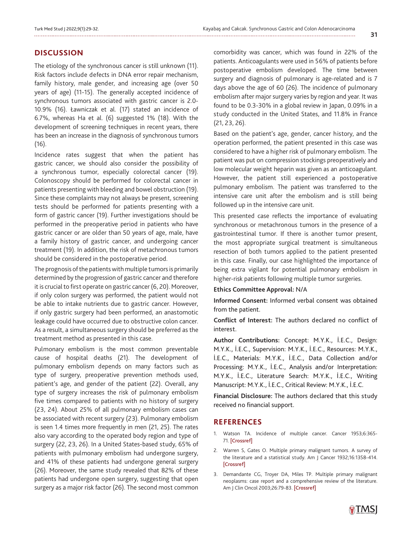## **DISCUSSION**

The etiology of the synchronous cancer is still unknown (11). Risk factors include defects in DNA error repair mechanism, family history, male gender, and increasing age (over 50 years of age) (11-15). The generally accepted incidence of synchronous tumors associated with gastric cancer is 2.0- 10.9% (16). Ławniczak et al. (17) stated an incidence of 6.7%, whereas Ha et al. (6) suggested 1% (18). With the development of screening techniques in recent years, there has been an increase in the diagnosis of synchronous tumors (16).

Incidence rates suggest that when the patient has gastric cancer, we should also consider the possibility of a synchronous tumor, especially colorectal cancer (19). Colonoscopy should be performed for colorectal cancer in patients presenting with bleeding and bowel obstruction (19). Since these complaints may not always be present, screening tests should be performed for patients presenting with a form of gastric cancer (19). Further investigations should be performed in the preoperative period in patients who have gastric cancer or are older than 50 years of age, male, have a family history of gastric cancer, and undergoing cancer treatment (19). In addition, the risk of metachronous tumors should be considered in the postoperative period.

The prognosis of the patients with multiple tumors is primarily determined by the progression of gastric cancer and therefore it is crucial to first operate on gastric cancer (6, 20). Moreover, if only colon surgery was performed, the patient would not be able to intake nutrients due to gastric cancer. However, if only gastric surgery had been performed, an anastomotic leakage could have occurred due to obstructive colon cancer. As a result, a simultaneous surgery should be preferred as the treatment method as presented in this case.

Pulmonary embolism is the most common preventable cause of hospital deaths (21). The development of pulmonary embolism depends on many factors such as type of surgery, preoperative prevention methods used, patient's age, and gender of the patient (22). Overall, any type of surgery increases the risk of pulmonary embolism five times compared to patients with no history of surgery (23, 24). About 25% of all pulmonary embolism cases can be associated with recent surgery (23). Pulmonary embolism is seen 1.4 times more frequently in men (21, 25). The rates also vary according to the operated body region and type of surgery (22, 23, 26). In a United States-based study, 65% of patients with pulmonary embolism had undergone surgery, and 41% of these patients had undergone general surgery (26). Moreover, the same study revealed that 82% of these patients had undergone open surgery, suggesting that open surgery as a major risk factor (26). The second most common

comorbidity was cancer, which was found in 22% of the patients. Anticoagulants were used in 56% of patients before postoperative embolism developed. The time between surgery and diagnosis of pulmonary is age-related and is 7 days above the age of 60 (26). The incidence of pulmonary embolism after major surgery varies by region and year. It was found to be 0.3-30% in a global review in Japan, 0.09% in a study conducted in the United States, and 11.8% in France (21, 23, 26).

Based on the patient's age, gender, cancer history, and the operation performed, the patient presented in this case was considered to have a higher risk of pulmonary embolism. The patient was put on compression stockings preoperatively and low molecular weight heparin was given as an anticoagulant. However, the patient still experienced a postoperative pulmonary embolism. The patient was transferred to the intensive care unit after the embolism and is still being followed up in the intensive care unit.

This presented case reflects the importance of evaluating synchronous or metachronous tumors in the presence of a gastrointestinal tumor. If there is another tumor present, the most appropriate surgical treatment is simultaneous resection of both tumors applied to the patient presented in this case. Finally, our case highlighted the importance of being extra vigilant for potential pulmonary embolism in higher-risk patients following multiple tumor surgeries.

#### **Ethics Committee Approval:** N/A

**Informed Consent:** Informed verbal consent was obtained from the patient.

**Conflict of Interest:** The authors declared no conflict of interest.

**Author Contributions:** Concept: M.Y.K., İ.E.C., Design: M.Y.K., İ.E.C., Supervision: M.Y.K., İ.E.C., Resources: M.Y.K., İ.E.C., Materials: M.Y.K., İ.E.C., Data Collection and/or Processing: M.Y.K., İ.E.C., Analysis and/or Interpretation: M.Y.K., İ.E.C., Literature Search: M.Y.K., İ.E.C., Writing Manuscript: M.Y.K., İ.E.C., Critical Review: M.Y.K., İ.E.C.

**Financial Disclosure:** The authors declared that this study received no financial support.

### **REFERENCES**

- 1. Watson TA. Incidence of multiple cancer. Cancer 1953;6:365- 71. [\[Crossref\]](https://doi.org/10.1002/1097-0142(195303)6:2<365::AID-CNCR2820060221>3.0.CO;2-B)
- 2. Warren S, Gates O. Multiple primary malignant tumors. A survey of the literature and a statistical study. Am | Cancer 1932;16:1358-414. [\[Crossref\]](https://doi.org/10.7150/jca.25482)
- 3. Demandante CG, Troyer DA, Miles TP. Multiple primary malignant neoplasms: case report and a comprehensive review of the literature. Am J Clin Oncol 2003;26:79-83. [\[Crossref](https://journals.lww.com/amjclinicaloncology/Fulltext/2003/02000/Multiple_Primary_Malignant_Neoplasms__Case_Report.15.aspx)]